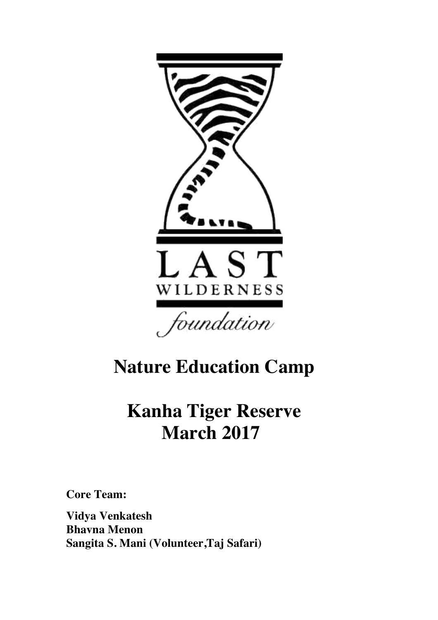

# **Nature Education Camp**

## **Kanha Tiger Reserve March 2017**

**Core Team:**

**Vidya Venkatesh Bhavna Menon Sangita S. Mani (Volunteer,Taj Safari)**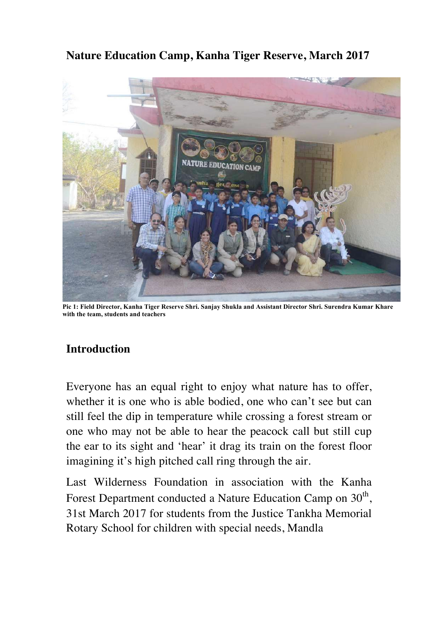#### **Nature Education Camp, Kanha Tiger Reserve, March 2017**



**Pic 1: Field Director, Kanha Tiger Reserve Shri. Sanjay Shukla and Assistant Director Shri. Surendra Kumar Khare with the team, students and teachers**

#### **Introduction**

Everyone has an equal right to enjoy what nature has to offer, whether it is one who is able bodied, one who can't see but can still feel the dip in temperature while crossing a forest stream or one who may not be able to hear the peacock call but still cup the ear to its sight and 'hear' it drag its train on the forest floor imagining it's high pitched call ring through the air.

Last Wilderness Foundation in association with the Kanha Forest Department conducted a Nature Education Camp on 30<sup>th</sup>, 31st March 2017 for students from the Justice Tankha Memorial Rotary School for children with special needs, Mandla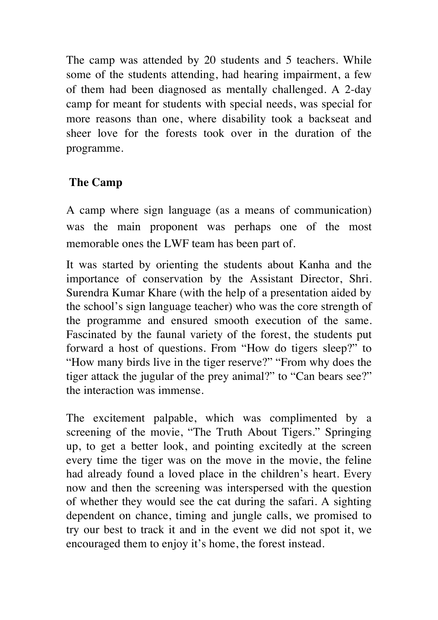The camp was attended by 20 students and 5 teachers. While some of the students attending, had hearing impairment, a few of them had been diagnosed as mentally challenged. A 2-day camp for meant for students with special needs, was special for more reasons than one, where disability took a backseat and sheer love for the forests took over in the duration of the programme.

### **The Camp**

A camp where sign language (as a means of communication) was the main proponent was perhaps one of the most memorable ones the LWF team has been part of.

It was started by orienting the students about Kanha and the importance of conservation by the Assistant Director, Shri. Surendra Kumar Khare (with the help of a presentation aided by the school's sign language teacher) who was the core strength of the programme and ensured smooth execution of the same. Fascinated by the faunal variety of the forest, the students put forward a host of questions. From "How do tigers sleep?" to "How many birds live in the tiger reserve?" "From why does the tiger attack the jugular of the prey animal?" to "Can bears see?" the interaction was immense.

The excitement palpable, which was complimented by a screening of the movie, "The Truth About Tigers." Springing up, to get a better look, and pointing excitedly at the screen every time the tiger was on the move in the movie, the feline had already found a loved place in the children's heart. Every now and then the screening was interspersed with the question of whether they would see the cat during the safari. A sighting dependent on chance, timing and jungle calls, we promised to try our best to track it and in the event we did not spot it, we encouraged them to enjoy it's home, the forest instead.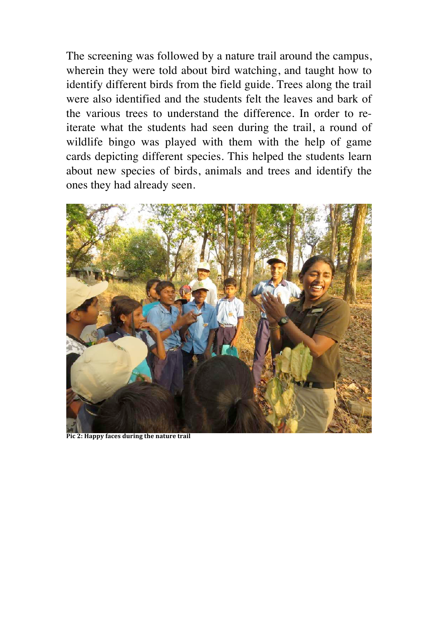The screening was followed by a nature trail around the campus, wherein they were told about bird watching, and taught how to identify different birds from the field guide. Trees along the trail were also identified and the students felt the leaves and bark of the various trees to understand the difference. In order to reiterate what the students had seen during the trail, a round of wildlife bingo was played with them with the help of game cards depicting different species. This helped the students learn about new species of birds, animals and trees and identify the ones they had already seen.



**Pic 2: Happy faces during the nature trail**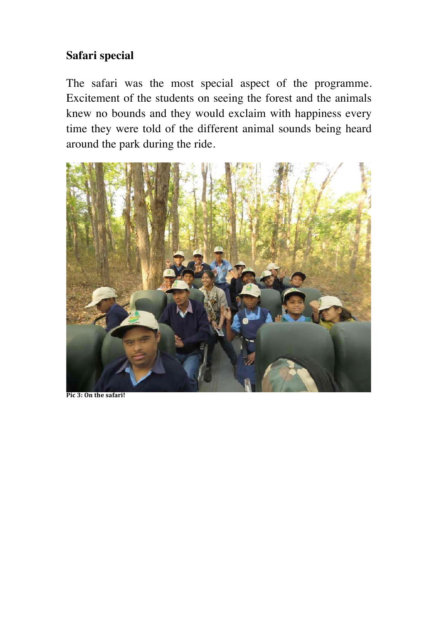### **Safari special**

The safari was the most special aspect of the programme. Excitement of the students on seeing the forest and the animals knew no bounds and they would exclaim with happiness every time they were told of the different animal sounds being heard around the park during the ride.



**Pic 3: On the safari!**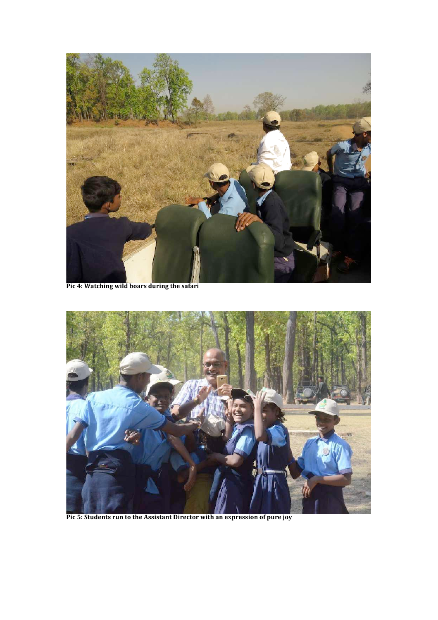

Pic 4: Watching wild boars during the safari



Pic 5: Students run to the Assistant Director with an expression of pure joy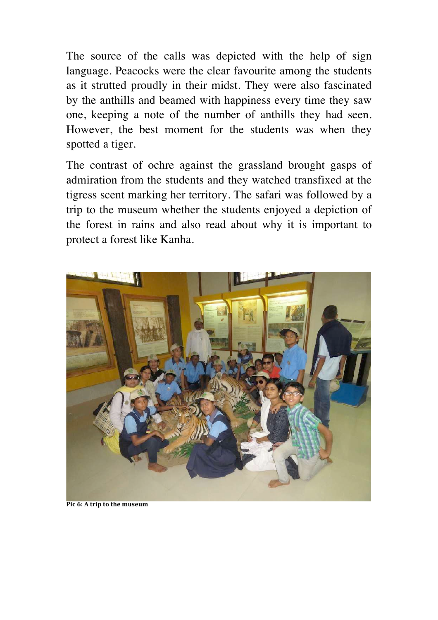The source of the calls was depicted with the help of sign language. Peacocks were the clear favourite among the students as it strutted proudly in their midst. They were also fascinated by the anthills and beamed with happiness every time they saw one, keeping a note of the number of anthills they had seen. However, the best moment for the students was when they spotted a tiger.

The contrast of ochre against the grassland brought gasps of admiration from the students and they watched transfixed at the tigress scent marking her territory. The safari was followed by a trip to the museum whether the students enjoyed a depiction of the forest in rains and also read about why it is important to protect a forest like Kanha.



**Pic 6: A trip to the museum**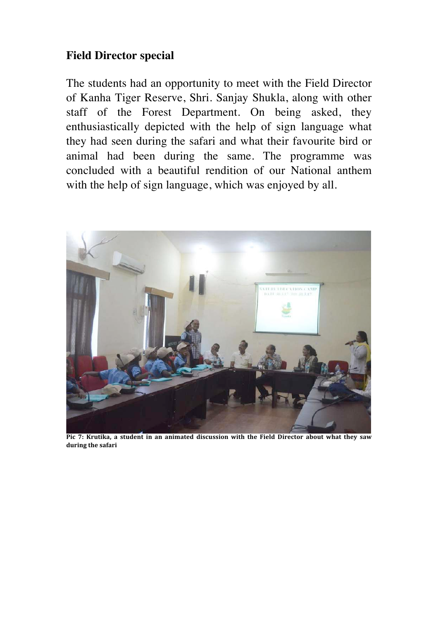#### **Field Director special**

The students had an opportunity to meet with the Field Director of Kanha Tiger Reserve, Shri. Sanjay Shukla, along with other staff of the Forest Department. On being asked, they enthusiastically depicted with the help of sign language what they had seen during the safari and what their favourite bird or animal had been during the same. The programme was concluded with a beautiful rendition of our National anthem with the help of sign language, which was enjoyed by all.



Pic 7: Krutika, a student in an animated discussion with the Field Director about what they saw during the safari